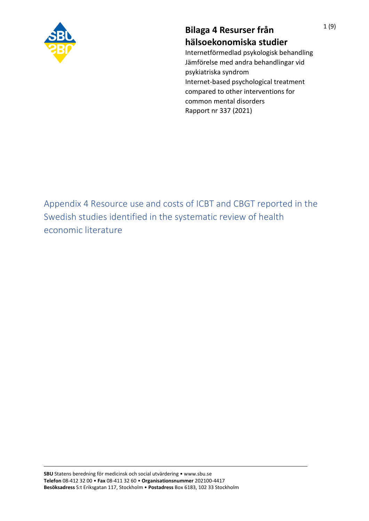

## **Bilaga 4 Resurser från hälsoekonomiska studier**

Internetförmedlad psykologisk behandling Jämförelse med andra behandlingar vid psykiatriska syndrom Internet-based psychological treatment compared to other interventions for common mental disorders Rapport nr 337 (2021)

Appendix 4 Resource use and costs of ICBT and CBGT reported in the Swedish studies identified in the systematic review of health economic literature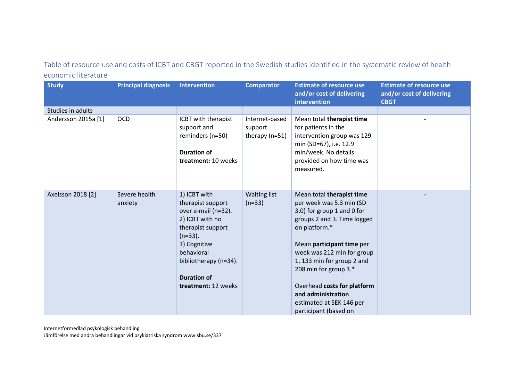## Table of resource use and costs of ICBT and CBGT reported in the Swedish studies identified in the systematic review of health economic literature

| <b>Study</b>        | <b>Principal diagnosis</b> | Intervention                                                                                                                                                                                                       | <b>Comparator</b>                             | <b>Estimate of resource use</b><br>and/or cost of delivering<br>intervention                                                                                                                                                                                                                                                                                    | <b>Estimate of resource use</b><br>and/or cost of delivering<br><b>CBGT</b> |
|---------------------|----------------------------|--------------------------------------------------------------------------------------------------------------------------------------------------------------------------------------------------------------------|-----------------------------------------------|-----------------------------------------------------------------------------------------------------------------------------------------------------------------------------------------------------------------------------------------------------------------------------------------------------------------------------------------------------------------|-----------------------------------------------------------------------------|
| Studies in adults   |                            |                                                                                                                                                                                                                    |                                               |                                                                                                                                                                                                                                                                                                                                                                 |                                                                             |
| Andersson 2015a [1] | <b>OCD</b>                 | ICBT with therapist<br>support and<br>reminders (n=50)<br><b>Duration of</b><br>treatment: 10 weeks                                                                                                                | Internet-based<br>support<br>therapy $(n=51)$ | Mean total therapist time<br>for patients in the<br>intervention group was 129<br>min (SD=67), i.e. 12.9<br>min/week. No details<br>provided on how time was<br>measured.                                                                                                                                                                                       |                                                                             |
| Axelsson 2018 [2]   | Severe health<br>anxiety   | 1) ICBT with<br>therapist support<br>over e-mail (n=32).<br>2) ICBT with no<br>therapist support<br>$(n=33)$ .<br>3) Cognitive<br>behavioral<br>bibliotherapy (n=34).<br><b>Duration of</b><br>treatment: 12 weeks | <b>Waiting list</b><br>$(n=33)$               | Mean total therapist time<br>per week was 5.3 min (SD<br>3.0) for group 1 and 0 for<br>groups 2 and 3. Time logged<br>on platform.*<br>Mean participant time per<br>week was 212 min for group<br>1, 133 min for group 2 and<br>208 min for group 3.*<br>Overhead costs for platform<br>and administration<br>estimated at SEK 146 per<br>participant (based on |                                                                             |

Internetförmedlad psykologisk behandling Jämförelse med andra behandlingar vid psykiatriska syndrom www.sbu.se/337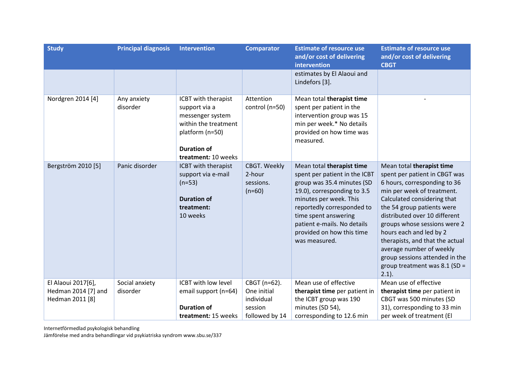| <b>Study</b>        | <b>Principal diagnosis</b> | <b>Intervention</b>                                                                                                                              | <b>Comparator</b>                               | <b>Estimate of resource use</b><br>and/or cost of delivering<br>intervention                                                                                                                                                                                                         | <b>Estimate of resource use</b><br>and/or cost of delivering<br><b>CBGT</b>                                                                                                                                                                                                                                                                                                                                                       |
|---------------------|----------------------------|--------------------------------------------------------------------------------------------------------------------------------------------------|-------------------------------------------------|--------------------------------------------------------------------------------------------------------------------------------------------------------------------------------------------------------------------------------------------------------------------------------------|-----------------------------------------------------------------------------------------------------------------------------------------------------------------------------------------------------------------------------------------------------------------------------------------------------------------------------------------------------------------------------------------------------------------------------------|
|                     |                            |                                                                                                                                                  |                                                 | estimates by El Alaoui and<br>Lindefors [3].                                                                                                                                                                                                                                         |                                                                                                                                                                                                                                                                                                                                                                                                                                   |
| Nordgren 2014 [4]   | Any anxiety<br>disorder    | ICBT with therapist<br>support via a<br>messenger system<br>within the treatment<br>platform (n=50)<br><b>Duration of</b><br>treatment: 10 weeks | Attention<br>control (n=50)                     | Mean total therapist time<br>spent per patient in the<br>intervention group was 15<br>min per week.* No details<br>provided on how time was<br>measured.                                                                                                                             |                                                                                                                                                                                                                                                                                                                                                                                                                                   |
| Bergström 2010 [5]  | Panic disorder             | ICBT with therapist<br>support via e-mail<br>$(n=53)$<br><b>Duration of</b><br>treatment:<br>10 weeks                                            | CBGT. Weekly<br>2-hour<br>sessions.<br>$(n=60)$ | Mean total therapist time<br>spent per patient in the ICBT<br>group was 35.4 minutes (SD<br>19.0), corresponding to 3.5<br>minutes per week. This<br>reportedly corresponded to<br>time spent answering<br>patient e-mails. No details<br>provided on how this time<br>was measured. | Mean total therapist time<br>spent per patient in CBGT was<br>6 hours, corresponding to 36<br>min per week of treatment.<br>Calculated considering that<br>the 54 group patients were<br>distributed over 10 different<br>groups whose sessions were 2<br>hours each and led by 2<br>therapists, and that the actual<br>average number of weekly<br>group sessions attended in the<br>group treatment was $8.1$ (SD =<br>$2.1$ ). |
| El Alaoui 2017[6],  | Social anxiety             | ICBT with low level                                                                                                                              | CBGT (n=62).                                    | Mean use of effective                                                                                                                                                                                                                                                                | Mean use of effective                                                                                                                                                                                                                                                                                                                                                                                                             |
| Hedman 2014 [7] and | disorder                   | email support (n=64)                                                                                                                             | One initial                                     | therapist time per patient in                                                                                                                                                                                                                                                        | therapist time per patient in                                                                                                                                                                                                                                                                                                                                                                                                     |
| Hedman 2011 [8]     |                            |                                                                                                                                                  | individual                                      | the ICBT group was 190                                                                                                                                                                                                                                                               | CBGT was 500 minutes (SD                                                                                                                                                                                                                                                                                                                                                                                                          |
|                     |                            | <b>Duration of</b>                                                                                                                               | session                                         | minutes (SD 54),                                                                                                                                                                                                                                                                     | 31), corresponding to 33 min                                                                                                                                                                                                                                                                                                                                                                                                      |
|                     |                            | treatment: 15 weeks                                                                                                                              | followed by 14                                  | corresponding to 12.6 min                                                                                                                                                                                                                                                            | per week of treatment (El                                                                                                                                                                                                                                                                                                                                                                                                         |

Internetförmedlad psykologisk behandling

Jämförelse med andra behandlingar vid psykiatriska syndrom www.sbu.se/337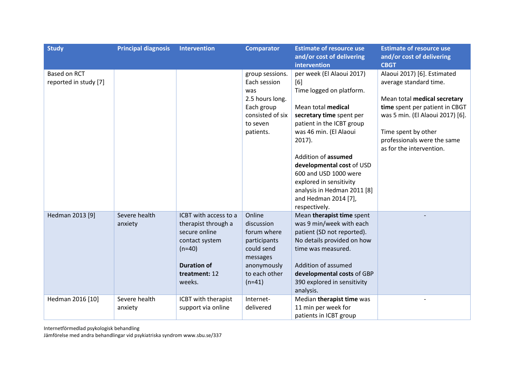| <b>Study</b>                          | <b>Principal diagnosis</b> | <b>Intervention</b>                                                                                                                          | <b>Comparator</b>                                                                                                         | <b>Estimate of resource use</b><br>and/or cost of delivering<br>intervention                                                                                                                                                                                                                                                                                       | <b>Estimate of resource use</b><br>and/or cost of delivering<br><b>CBGT</b>                                                                                                                                                                   |
|---------------------------------------|----------------------------|----------------------------------------------------------------------------------------------------------------------------------------------|---------------------------------------------------------------------------------------------------------------------------|--------------------------------------------------------------------------------------------------------------------------------------------------------------------------------------------------------------------------------------------------------------------------------------------------------------------------------------------------------------------|-----------------------------------------------------------------------------------------------------------------------------------------------------------------------------------------------------------------------------------------------|
| Based on RCT<br>reported in study [7] |                            |                                                                                                                                              | group sessions.<br>Each session<br>was<br>2.5 hours long.<br>Each group<br>consisted of six<br>to seven<br>patients.      | per week (El Alaoui 2017)<br>[6]<br>Time logged on platform.<br>Mean total medical<br>secretary time spent per<br>patient in the ICBT group<br>was 46 min. (El Alaoui<br>$2017$ ).<br>Addition of assumed<br>developmental cost of USD<br>600 and USD 1000 were<br>explored in sensitivity<br>analysis in Hedman 2011 [8]<br>and Hedman 2014 [7],<br>respectively. | Alaoui 2017) [6]. Estimated<br>average standard time.<br>Mean total medical secretary<br>time spent per patient in CBGT<br>was 5 min. (El Alaoui 2017) [6].<br>Time spent by other<br>professionals were the same<br>as for the intervention. |
| Hedman 2013 [9]                       | Severe health<br>anxiety   | ICBT with access to a<br>therapist through a<br>secure online<br>contact system<br>$(n=40)$<br><b>Duration of</b><br>treatment: 12<br>weeks. | Online<br>discussion<br>forum where<br>participants<br>could send<br>messages<br>anonymously<br>to each other<br>$(n=41)$ | Mean therapist time spent<br>was 9 min/week with each<br>patient (SD not reported).<br>No details provided on how<br>time was measured.<br>Addition of assumed<br>developmental costs of GBP<br>390 explored in sensitivity<br>analysis.                                                                                                                           |                                                                                                                                                                                                                                               |
| Hedman 2016 [10]                      | Severe health<br>anxiety   | ICBT with therapist<br>support via online                                                                                                    | Internet-<br>delivered                                                                                                    | Median therapist time was<br>11 min per week for<br>patients in ICBT group                                                                                                                                                                                                                                                                                         |                                                                                                                                                                                                                                               |

Internetförmedlad psykologisk behandling

Jämförelse med andra behandlingar vid psykiatriska syndrom www.sbu.se/337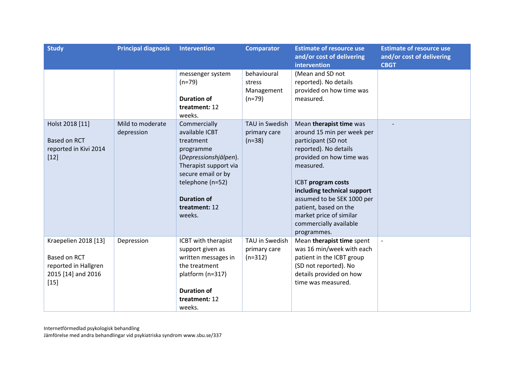| <b>Study</b>                                                                                 | <b>Principal diagnosis</b>     | <b>Intervention</b>                                                                                                                                                                                   | <b>Comparator</b>                               | <b>Estimate of resource use</b><br>and/or cost of delivering<br>intervention                                                                                                                                                                                                                                                   | <b>Estimate of resource use</b><br>and/or cost of delivering<br><b>CBGT</b> |
|----------------------------------------------------------------------------------------------|--------------------------------|-------------------------------------------------------------------------------------------------------------------------------------------------------------------------------------------------------|-------------------------------------------------|--------------------------------------------------------------------------------------------------------------------------------------------------------------------------------------------------------------------------------------------------------------------------------------------------------------------------------|-----------------------------------------------------------------------------|
|                                                                                              |                                | messenger system<br>$(n=79)$<br><b>Duration of</b><br>treatment: 12<br>weeks.                                                                                                                         | behavioural<br>stress<br>Management<br>$(n=79)$ | (Mean and SD not<br>reported). No details<br>provided on how time was<br>measured.                                                                                                                                                                                                                                             |                                                                             |
| Holst 2018 [11]<br><b>Based on RCT</b><br>reported in Kivi 2014<br>$[12]$                    | Mild to moderate<br>depression | Commercially<br>available ICBT<br>treatment<br>programme<br>(Depressionshjälpen).<br>Therapist support via<br>secure email or by<br>telephone (n=52)<br><b>Duration of</b><br>treatment: 12<br>weeks. | TAU in Swedish<br>primary care<br>$(n=38)$      | Mean therapist time was<br>around 15 min per week per<br>participant (SD not<br>reported). No details<br>provided on how time was<br>measured.<br>ICBT program costs<br>including technical support<br>assumed to be SEK 1000 per<br>patient, based on the<br>market price of similar<br>commercially available<br>programmes. |                                                                             |
| Kraepelien 2018 [13]<br>Based on RCT<br>reported in Hallgren<br>2015 [14] and 2016<br>$[15]$ | Depression                     | ICBT with therapist<br>support given as<br>written messages in<br>the treatment<br>platform (n=317)<br><b>Duration of</b><br>treatment: 12<br>weeks.                                                  | TAU in Swedish<br>primary care<br>$(n=312)$     | Mean therapist time spent<br>was 16 min/week with each<br>patient in the ICBT group<br>(SD not reported). No<br>details provided on how<br>time was measured.                                                                                                                                                                  |                                                                             |

Internetförmedlad psykologisk behandling Jämförelse med andra behandlingar vid psykiatriska syndrom www.sbu.se/337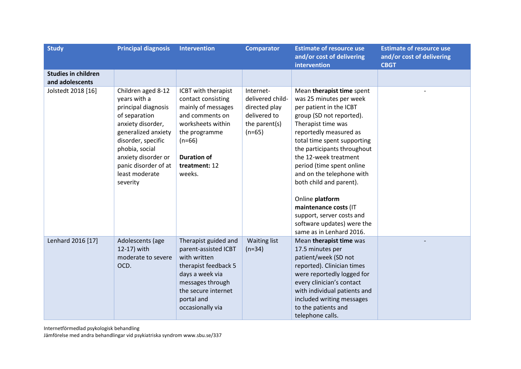| <b>Study</b>                                  | <b>Principal diagnosis</b>                                                                                                                                                                                                                  | <b>Intervention</b>                                                                                                                                                                   | <b>Comparator</b>                                                                           | <b>Estimate of resource use</b><br>and/or cost of delivering<br>intervention                                                                                                                                                                                                                                                                                                                                                                                               | <b>Estimate of resource use</b><br>and/or cost of delivering<br><b>CBGT</b> |
|-----------------------------------------------|---------------------------------------------------------------------------------------------------------------------------------------------------------------------------------------------------------------------------------------------|---------------------------------------------------------------------------------------------------------------------------------------------------------------------------------------|---------------------------------------------------------------------------------------------|----------------------------------------------------------------------------------------------------------------------------------------------------------------------------------------------------------------------------------------------------------------------------------------------------------------------------------------------------------------------------------------------------------------------------------------------------------------------------|-----------------------------------------------------------------------------|
| <b>Studies in children</b><br>and adolescents |                                                                                                                                                                                                                                             |                                                                                                                                                                                       |                                                                                             |                                                                                                                                                                                                                                                                                                                                                                                                                                                                            |                                                                             |
| Jolstedt 2018 [16]                            | Children aged 8-12<br>years with a<br>principal diagnosis<br>of separation<br>anxiety disorder,<br>generalized anxiety<br>disorder, specific<br>phobia, social<br>anxiety disorder or<br>panic disorder of at<br>least moderate<br>severity | ICBT with therapist<br>contact consisting<br>mainly of messages<br>and comments on<br>worksheets within<br>the programme<br>$(n=66)$<br><b>Duration of</b><br>treatment: 12<br>weeks. | Internet-<br>delivered child-<br>directed play<br>delivered to<br>the parent(s)<br>$(n=65)$ | Mean therapist time spent<br>was 25 minutes per week<br>per patient in the ICBT<br>group (SD not reported).<br>Therapist time was<br>reportedly measured as<br>total time spent supporting<br>the participants throughout<br>the 12-week treatment<br>period (time spent online<br>and on the telephone with<br>both child and parent).<br>Online platform<br>maintenance costs (IT<br>support, server costs and<br>software updates) were the<br>same as in Lenhard 2016. |                                                                             |
| Lenhard 2016 [17]                             | Adolescents (age<br>12-17) with<br>moderate to severe<br>OCD.                                                                                                                                                                               | Therapist guided and<br>parent-assisted ICBT<br>with written<br>therapist feedback 5<br>days a week via<br>messages through<br>the secure internet<br>portal and<br>occasionally via  | Waiting list<br>$(n=34)$                                                                    | Mean therapist time was<br>17.5 minutes per<br>patient/week (SD not<br>reported). Clinician times<br>were reportedly logged for<br>every clinician's contact<br>with individual patients and<br>included writing messages<br>to the patients and<br>telephone calls.                                                                                                                                                                                                       |                                                                             |

Internetförmedlad psykologisk behandling

Jämförelse med andra behandlingar vid psykiatriska syndrom www.sbu.se/337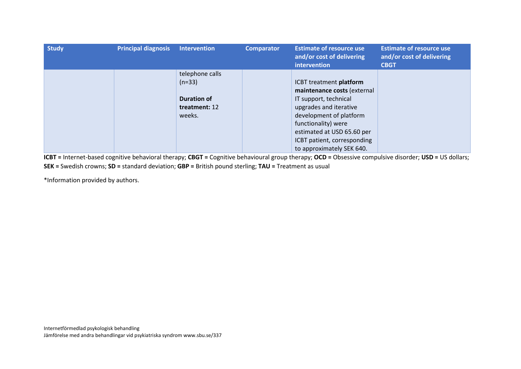| <b>Study</b> | <b>Principal diagnosis</b> | <b>Intervention</b> | <b>Comparator</b> | <b>Estimate of resource use</b><br>and/or cost of delivering<br>intervention | <b>Estimate of resource use</b><br>and/or cost of delivering<br><b>CBGT</b> |
|--------------|----------------------------|---------------------|-------------------|------------------------------------------------------------------------------|-----------------------------------------------------------------------------|
|              |                            | telephone calls     |                   |                                                                              |                                                                             |
|              |                            | $(n=33)$            |                   | ICBT treatment platform                                                      |                                                                             |
|              |                            |                     |                   | maintenance costs (external                                                  |                                                                             |
|              |                            | <b>Duration of</b>  |                   | IT support, technical                                                        |                                                                             |
|              |                            | treatment: 12       |                   | upgrades and iterative                                                       |                                                                             |
|              |                            | weeks.              |                   | development of platform                                                      |                                                                             |
|              |                            |                     |                   | functionality) were                                                          |                                                                             |
|              |                            |                     |                   | estimated at USD 65.60 per                                                   |                                                                             |
|              |                            |                     |                   | ICBT patient, corresponding                                                  |                                                                             |
|              |                            |                     |                   | to approximately SEK 640.                                                    |                                                                             |

**ICBT =** Internet-based cognitive behavioral therapy; **CBGT =** Cognitive behavioural group therapy; **OCD =** Obsessive compulsive disorder; **USD =** US dollars; **SEK =** Swedish crowns; **SD =** standard deviation; **GBP =** British pound sterling; **TAU =** Treatment as usual

\*Information provided by authors.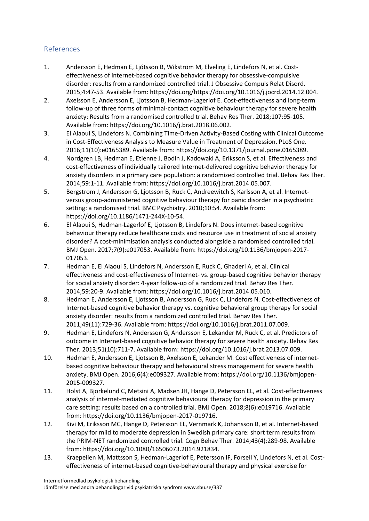## References

- 1. Andersson E, Hedman E, Ljótsson B, Wikström M, Elveling E, Lindefors N, et al. Costeffectiveness of internet-based cognitive behavior therapy for obsessive-compulsive disorder: results from a randomized controlled trial. J Obsessive Compuls Relat Disord. 2015;4:47-53. Available from: https://doi.org/https://doi.org/10.1016/j.jocrd.2014.12.004.
- 2. Axelsson E, Andersson E, Ljotsson B, Hedman-Lagerlof E. Cost-effectiveness and long-term follow-up of three forms of minimal-contact cognitive behaviour therapy for severe health anxiety: Results from a randomised controlled trial. Behav Res Ther. 2018;107:95-105. Available from: https://doi.org/10.1016/j.brat.2018.06.002.
- 3. El Alaoui S, Lindefors N. Combining Time-Driven Activity-Based Costing with Clinical Outcome in Cost-Effectiveness Analysis to Measure Value in Treatment of Depression. PLoS One. 2016;11(10):e0165389. Available from: https://doi.org/10.1371/journal.pone.0165389.
- 4. Nordgren LB, Hedman E, Etienne J, Bodin J, Kadowaki A, Eriksson S, et al. Effectiveness and cost-effectiveness of individually tailored Internet-delivered cognitive behavior therapy for anxiety disorders in a primary care population: a randomized controlled trial. Behav Res Ther. 2014;59:1-11. Available from: https://doi.org/10.1016/j.brat.2014.05.007.
- 5. Bergstrom J, Andersson G, Ljotsson B, Ruck C, Andreewitch S, Karlsson A, et al. Internetversus group-administered cognitive behaviour therapy for panic disorder in a psychiatric setting: a randomised trial. BMC Psychiatry. 2010;10:54. Available from: https://doi.org/10.1186/1471-244X-10-54.
- 6. El Alaoui S, Hedman-Lagerlof E, Ljotsson B, Lindefors N. Does internet-based cognitive behaviour therapy reduce healthcare costs and resource use in treatment of social anxiety disorder? A cost-minimisation analysis conducted alongside a randomised controlled trial. BMJ Open. 2017;7(9):e017053. Available from: https://doi.org/10.1136/bmjopen-2017- 017053.
- 7. Hedman E, El Alaoui S, Lindefors N, Andersson E, Ruck C, Ghaderi A, et al. Clinical effectiveness and cost-effectiveness of Internet- vs. group-based cognitive behavior therapy for social anxiety disorder: 4-year follow-up of a randomized trial. Behav Res Ther. 2014;59:20-9. Available from: https://doi.org/10.1016/j.brat.2014.05.010.
- 8. Hedman E, Andersson E, Ljotsson B, Andersson G, Ruck C, Lindefors N. Cost-effectiveness of Internet-based cognitive behavior therapy vs. cognitive behavioral group therapy for social anxiety disorder: results from a randomized controlled trial. Behav Res Ther. 2011;49(11):729-36. Available from: https://doi.org/10.1016/j.brat.2011.07.009.
- 9. Hedman E, Lindefors N, Andersson G, Andersson E, Lekander M, Ruck C, et al. Predictors of outcome in Internet-based cognitive behavior therapy for severe health anxiety. Behav Res Ther. 2013;51(10):711-7. Available from: https://doi.org/10.1016/j.brat.2013.07.009.
- 10. Hedman E, Andersson E, Ljotsson B, Axelsson E, Lekander M. Cost effectiveness of internetbased cognitive behaviour therapy and behavioural stress management for severe health anxiety. BMJ Open. 2016;6(4):e009327. Available from: https://doi.org/10.1136/bmjopen-2015-009327.
- 11. Holst A, Bjorkelund C, Metsini A, Madsen JH, Hange D, Petersson EL, et al. Cost-effectiveness analysis of internet-mediated cognitive behavioural therapy for depression in the primary care setting: results based on a controlled trial. BMJ Open. 2018;8(6):e019716. Available from: https://doi.org/10.1136/bmjopen-2017-019716.
- 12. Kivi M, Eriksson MC, Hange D, Petersson EL, Vernmark K, Johansson B, et al. Internet-based therapy for mild to moderate depression in Swedish primary care: short term results from the PRIM-NET randomized controlled trial. Cogn Behav Ther. 2014;43(4):289-98. Available from: https://doi.org/10.1080/16506073.2014.921834.
- 13. Kraepelien M, Mattsson S, Hedman-Lagerlof E, Petersson IF, Forsell Y, Lindefors N, et al. Costeffectiveness of internet-based cognitive-behavioural therapy and physical exercise for

Internetförmedlad psykologisk behandling